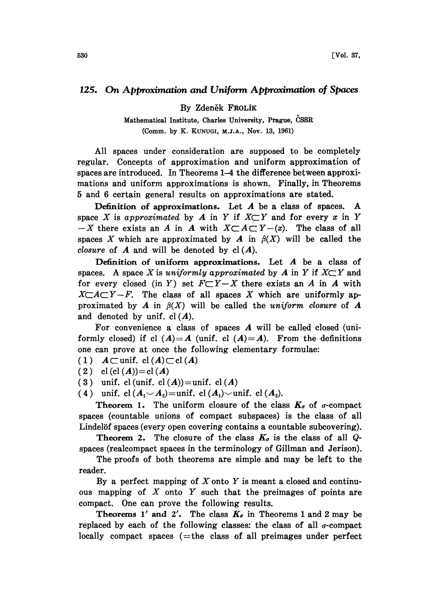## 125. On Approximation and Uniform Approximation of Spaces

By Zdeněk Frolík

Mathematical Institute, Charles University, Prague, CSSR (Comm. by K. KUNUGI, M.J.A., NOV. 13, 1961)

All spaces under consideration are supposed to be completely regular. Concepts of approximation and uniform approximation of spaces are introduced. In Theorems 1-4 the difference between approximations and uniform approximations is shown. Finally, in Theorems 5 and 6 certain general results on approximations are stated.

Definition of approximations. Let A be <sup>a</sup> class of spaces. A space X is approximated by A in Y if  $X \subset Y$  and for every x in Y  $-X$  there exists an A in A with  $X\subset A\subset Y-(x)$ . The class of all spaces X which are approximated by A in  $\beta(X)$  will be called the *closure* of  $\boldsymbol{A}$  and will be denoted by  $cl(\boldsymbol{A})$ .

Definition of uniform approximations. Let A be <sup>a</sup> class of spaces. A space X is uniformly approximated by A in Y if  $X \subset Y$  and for every closed (in Y) set  $F\subset Y-X$  there exists an A in A with  $X \subset A \subset Y - F$ . The class of all spaces X which are uniformly approximated by A in  $\beta(X)$  will be called the uniform closure of A and denoted by unif.  $cl(A)$ .

For convenience a class of spaces A will be called closed (uniformly closed) if cl  $(A)=A$  (unif. cl  $(A)=A$ ). From the definitions one can prove at once the following elementary formulae:

- $(1)$   $A \subset \text{unif. cl } (A) \subset \text{cl } (A)$
- (2)  $cl (cl (A))=cl (A)$
- ( 3 ) unif. cl (unif. cl  $(A)$ ) = unif. cl  $(A)$
- (4) unif. cl  $(A_1 \cup A_2)$ =unif. cl  $(A_1)$  $\cup$ unif. cl  $(A_2)$ .

**Theorem 1.** The uniform closure of the class  $K_{\sigma}$  of  $\sigma$ -compact spaces (countable unions of compact subspaces) is the class of all Lindelöf spaces (every open covering contains a countable subcovering).

Theorem 2. The closure of the class  $K_{\sigma}$  is the class of all Qspaces (realcompact spaces in the terminology of Gillman and Jerison).

The proofs of both theorems are simple and may be left to the reader.

By a perfect mapping of  $X$  onto  $Y$  is meant a closed and continuous mapping of  $X$  onto  $Y$  such that the preimages of points are compact. One can prove the following results.

Theorems 1' and 2'. The class  $K_{\sigma}$  in Theorems 1 and 2 may be replaced by each of the following classes: the class of all  $\sigma$ -compact locally compact spaces  $(=$ the class of all preimages under perfect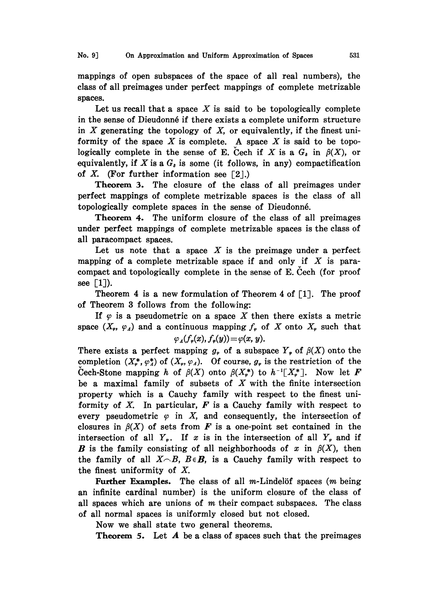mappings of open subspaces of the space of all real numbers), the class of all preimages under perfect mappings of complete metrizable spaces.

Let us recall that a space X is said to be topologically complete in the sense of Dieudonné if there exists a complete uniform structure in  $X$  generating the topology of  $X$ , or equivalently, if the finest uniformity of the space  $X$  is complete. A space  $X$  is said to be topologically complete in the sense of E. Cech if X is a  $G_i$  in  $\beta(X)$ , or equivalently, if X is a  $G<sub>s</sub>$  is some (it follows, in any) compactification of X. (For further information see  $\lceil 2 \rceil$ .)

Theorem 3. The closure of the class of all preimages under perfect mappings of complete metrizable spaces is the class of all topologically complete spaces in the sense of Dieudonné.

Theorem 4. The uniform closure of the class of all preimages under perfect mappings of complete metrizable spaces is the class of all paracompact spaces.

Let us note that a space  $X$  is the preimage under a perfect mapping of a complete metrizable space if and only if  $X$  is paracompact and topologically complete in the sense of E. Cech (for proof see  $\lceil 1 \rceil$ ).

Theorem 4 is a new formulation of Theorem 4 of  $\lceil 1 \rceil$ . The proof of Theorem 3 follows from the following:

If  $\varphi$  is a pseudometric on a space X then there exists a metric space  $(X_{\varphi}, \varphi_A)$  and a continuous mapping  $f_{\varphi}$  of X onto  $X_{\varphi}$  such that

## $\varphi_A(f_\nu(x), f_\nu(y)) = \varphi(x, y).$

There exists a perfect mapping  $g_{\varphi}$  of a subspace  $Y_{\varphi}$  of  $\beta(X)$  onto the completion  $(X^*_r, \varphi^*_\Lambda)$  of  $(X_r, \varphi_\Lambda)$ . Of course,  $g_r$  is the restriction of the Cech-Stone mapping h of  $\beta(X)$  onto  $\beta(X^*)$  to  $h^{-1}[X^*]$ . Now let F be a maximal family of subsets of  $X$  with the finite intersection property which is a Cauchy family with respect to the finest uniformity of  $X$ . In particular,  $F$  is a Cauchy family with respect to every pseudometric  $\varphi$  in X, and consequently, the intersection of closures in  $\beta(X)$  of sets from F is a one-point set contained in the intersection of all  $Y_{\varphi}$ . If x is in the intersection of all  $Y_{\varphi}$  and if **B** is the family consisting of all neighborhoods of x in  $\beta(X)$ , then the family of all  $X \cap B$ ,  $B \in \mathbf{B}$ , is a Cauchy family with respect to the finest uniformity of X.

Further Examples. The class of all  $m$ -Lindelöf spaces  $(m \text{ being})$ an infinite cardinal number) is the uniform closure of the class of all spaces which are unions of  $m$  their compact subspaces. The class of all normal spaces is uniformly closed but not closed.

Now we shall state two general theorems.

**Theorem 5.** Let  $A$  be a class of spaces such that the preimages